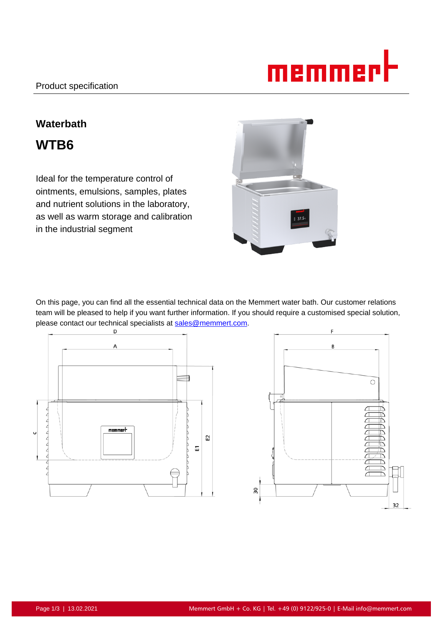

# **Waterbath WTB6**

Ideal for the temperature control of ointments, emulsions, samples, plates and nutrient solutions in the laboratory, as well as warm storage and calibration in the industrial segment



On this page, you can find all the essential technical data on the Memmert water bath. Our customer relations team will be pleased to help if you want further information. If you should require a customised special solution, please contact our technical specialists at sales@memmert.com.



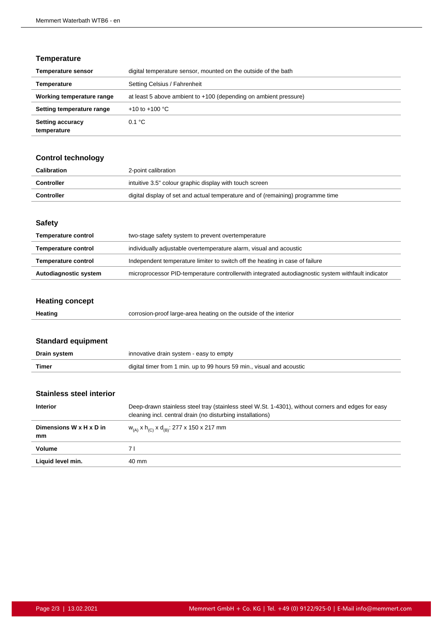## **Temperature**

| <b>Temperature sensor</b>              | digital temperature sensor, mounted on the outside of the bath   |
|----------------------------------------|------------------------------------------------------------------|
| Temperature                            | Setting Celsius / Fahrenheit                                     |
| Working temperature range              | at least 5 above ambient to +100 (depending on ambient pressure) |
| Setting temperature range              | +10 to +100 $^{\circ}$ C                                         |
| <b>Setting accuracy</b><br>temperature | 0.1 °C                                                           |

# **Control technology**

| Calibration       | 2-point calibration                                                             |
|-------------------|---------------------------------------------------------------------------------|
| <b>Controller</b> | intuitive 3.5" colour graphic display with touch screen                         |
| Controller        | digital display of set and actual temperature and of (remaining) programme time |

#### **Safety**

| <b>Temperature control</b> | two-stage safety system to prevent overtemperature                                                 |
|----------------------------|----------------------------------------------------------------------------------------------------|
| <b>Temperature control</b> | individually adjustable overtemperature alarm, visual and acoustic                                 |
| <b>Temperature control</b> | Independent temperature limiter to switch off the heating in case of failure                       |
| Autodiagnostic system      | microprocessor PID-temperature controllerwith integrated autodiagnostic system withfault indicator |

# **Heating concept**

| Heating | corrosion-proof large-area heating on the outside of the interior |
|---------|-------------------------------------------------------------------|
|         |                                                                   |

# **Standard equipment**

| Drain system | innovative drain system - easy to empty                               |
|--------------|-----------------------------------------------------------------------|
| Timer        | digital timer from 1 min. up to 99 hours 59 min., visual and acoustic |

#### **Stainless steel interior**

| <b>Interior</b>               | Deep-drawn stainless steel tray (stainless steel W.St. 1-4301), without corners and edges for easy<br>cleaning incl. central drain (no disturbing installations) |
|-------------------------------|------------------------------------------------------------------------------------------------------------------------------------------------------------------|
| Dimensions W x H x D in<br>mm | $W_{(A)}$ x h <sub>(C)</sub> x d <sub>(B)</sub> : 277 x 150 x 217 mm                                                                                             |
| Volume                        | 7 I                                                                                                                                                              |
| Liquid level min.             | 40 mm                                                                                                                                                            |